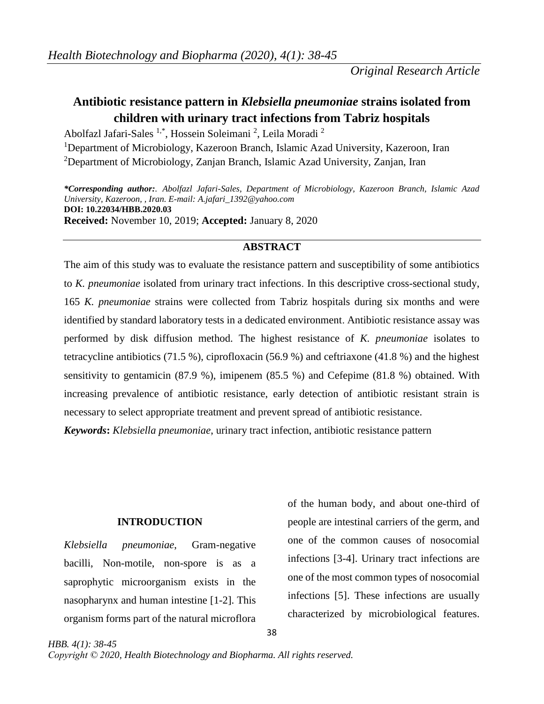# **Antibiotic resistance pattern in** *Klebsiella pneumoniae* **strains isolated from children with urinary tract infections from Tabriz hospitals**

Abolfazl Jafari-Sales <sup>1,\*</sup>, Hossein Soleimani<sup>2</sup>, Leila Moradi<sup>2</sup> <sup>1</sup>Department of Microbiology, Kazeroon Branch, Islamic Azad University, Kazeroon, Iran <sup>2</sup>Department of Microbiology, Zanjan Branch, Islamic Azad University, Zanjan, Iran

*\*Corresponding author:. Abolfazl Jafari-Sales, Department of Microbiology, Kazeroon Branch, Islamic Azad University, Kazeroon, , Iran. E-mail: A.jafari\_1392@yahoo.com* **DOI: 10.22034/HBB.2020.03 Received:** November 10, 2019; **Accepted:** January 8, 2020

# **ABSTRACT**

The aim of this study was to evaluate the resistance pattern and susceptibility of some antibiotics to *K. pneumoniae* isolated from urinary tract infections. In this descriptive cross-sectional study, 165 *K. pneumoniae* strains were collected from Tabriz hospitals during six months and were identified by standard laboratory tests in a dedicated environment. Antibiotic resistance assay was performed by disk diffusion method. The highest resistance of *K. pneumoniae* isolates to tetracycline antibiotics (71.5 %), ciprofloxacin (56.9 %) and ceftriaxone (41.8 %) and the highest sensitivity to gentamicin (87.9 %), imipenem (85.5 %) and Cefepime (81.8 %) obtained. With increasing prevalence of antibiotic resistance, early detection of antibiotic resistant strain is necessary to select appropriate treatment and prevent spread of antibiotic resistance.

*Keywords***:** *Klebsiella pneumoniae*, urinary tract infection, antibiotic resistance pattern

# **INTRODUCTION**

*Klebsiella pneumoniae*, Gram-negative bacilli, Non-motile, non-spore is as a saprophytic microorganism exists in the nasopharynx and human intestine [1-2]. This organism forms part of the natural microflora

*HBB. 4(1): 38-45*

of the human body, and about one-third of people are intestinal carriers of the germ, and one of the common causes of nosocomial infections [3-4]. Urinary tract infections are one of the most common types of nosocomial infections [5]. These infections are usually characterized by microbiological features.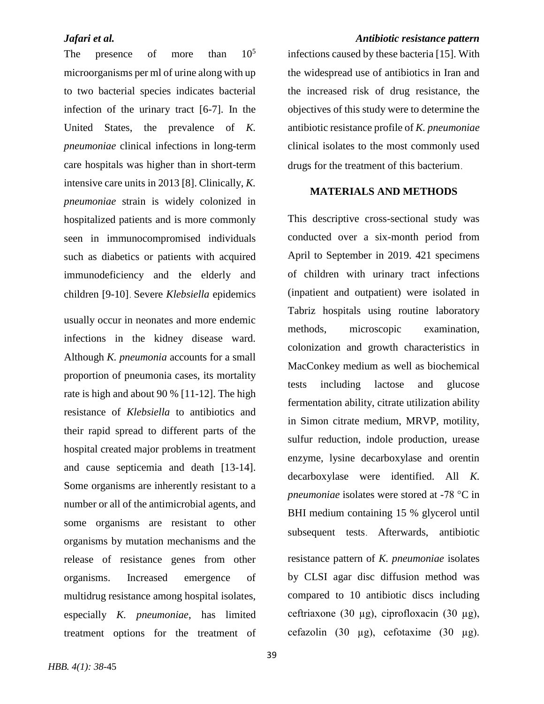The presence of more than  $10^5$ microorganisms per ml of urine along with up to two bacterial species indicates bacterial infection of the urinary tract [6-7]. In the United States, the prevalence of *K. pneumoniae* clinical infections in long-term care hospitals was higher than in short-term intensive care units in 2013 [8]. Clinically, *K. pneumoniae* strain is widely colonized in hospitalized patients and is more commonly seen in immunocompromised individuals such as diabetics or patients with acquired immunodeficiency and the elderly and children [9-10]. Severe *Klebsiella* epidemics

usually occur in neonates and more endemic infections in the kidney disease ward. Although *K. pneumonia* accounts for a small proportion of pneumonia cases, its mortality rate is high and about 90 % [11-12]. The high resistance of *Klebsiella* to antibiotics and their rapid spread to different parts of the hospital created major problems in treatment and cause septicemia and death [13-14]. Some organisms are inherently resistant to a number or all of the antimicrobial agents, and some organisms are resistant to other organisms by mutation mechanisms and the release of resistance genes from other organisms. Increased emergence of multidrug resistance among hospital isolates, especially *K. pneumoniae*, has limited treatment options for the treatment of

infections caused by these bacteria [15]. With the widespread use of antibiotics in Iran and the increased risk of drug resistance, the objectives of this study were to determine the antibiotic resistance profile of *K. pneumoniae* clinical isolates to the most commonly used drugs for the treatment of this bacterium.

# **MATERIALS AND METHODS**

This descriptive cross-sectional study was conducted over a six-month period from April to September in 2019. 421 specimens of children with urinary tract infections (inpatient and outpatient) were isolated in Tabriz hospitals using routine laboratory methods, microscopic examination, colonization and growth characteristics in MacConkey medium as well as biochemical tests including lactose and glucose fermentation ability, citrate utilization ability in Simon citrate medium, MRVP, motility, sulfur reduction, indole production, urease enzyme, lysine decarboxylase and orentin decarboxylase were identified. All *K. pneumoniae* isolates were stored at -78 °C in BHI medium containing 15 % glycerol until subsequent tests. Afterwards, antibiotic resistance pattern of *K. pneumoniae* isolates by CLSI agar disc diffusion method was compared to 10 antibiotic discs including ceftriaxone (30 µg), ciprofloxacin (30 µg), cefazolin (30 µg), cefotaxime (30 µg).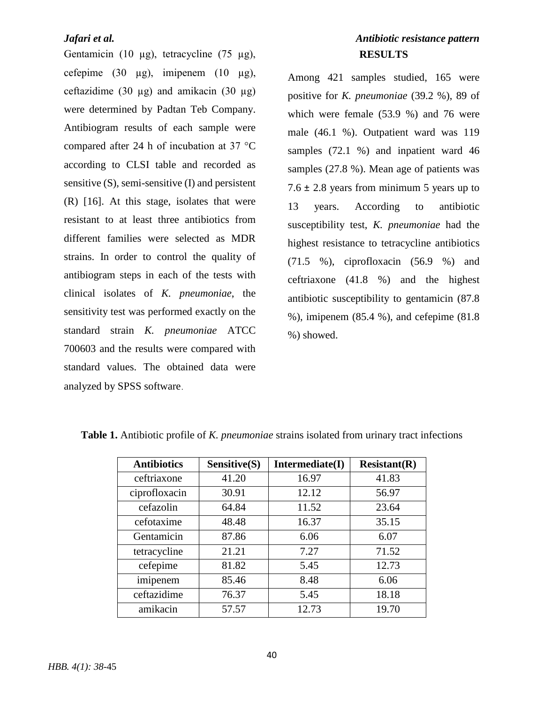Gentamicin (10  $\mu$ g), tetracycline (75  $\mu$ g), cefepime  $(30 \mu g)$ , imipenem  $(10 \mu g)$ , ceftazidime (30  $\mu$ g) and amikacin (30  $\mu$ g) were determined by Padtan Teb Company. Antibiogram results of each sample were compared after 24 h of incubation at 37 °C according to CLSI table and recorded as sensitive (S), semi-sensitive (I) and persistent (R) [16]. At this stage, isolates that were resistant to at least three antibiotics from different families were selected as MDR strains. In order to control the quality of antibiogram steps in each of the tests with clinical isolates of *K. pneumoniae*, the sensitivity test was performed exactly on the standard strain *K. pneumoniae* ATCC 700603 and the results were compared with standard values. The obtained data were analyzed by SPSS software.

# *Jafari et al. Antibiotic resistance pattern* **RESULTS**

Among 421 samples studied, 165 were positive for *K. pneumoniae* (39.2 %), 89 of which were female (53.9 %) and 76 were male (46.1 %). Outpatient ward was 119 samples (72.1 %) and inpatient ward 46 samples (27.8 %). Mean age of patients was 7.6  $\pm$  2.8 years from minimum 5 years up to 13 years. According to antibiotic susceptibility test, *K. pneumoniae* had the highest resistance to tetracycline antibiotics (71.5 %), ciprofloxacin (56.9 %) and ceftriaxone (41.8 %) and the highest antibiotic susceptibility to gentamicin (87.8 %), imipenem (85.4 %), and cefepime (81.8 %) showed.

| <b>Antibiotics</b> | Sensitive(S) | Intermediate(I) | Resistant(R) |
|--------------------|--------------|-----------------|--------------|
| ceftriaxone        | 41.20        | 16.97           | 41.83        |
| ciprofloxacin      | 30.91        | 12.12           | 56.97        |
| cefazolin          | 64.84        | 11.52           | 23.64        |
| cefotaxime         | 48.48        | 16.37           | 35.15        |
| Gentamicin         | 87.86        | 6.06            | 6.07         |
| tetracycline       | 21.21        | 7.27            | 71.52        |
| cefepime           | 81.82        | 5.45            | 12.73        |
| imipenem           | 85.46        | 8.48            | 6.06         |
| ceftazidime        | 76.37        | 5.45            | 18.18        |
| amikacin           | 57.57        | 12.73           | 19.70        |

**Table 1.** Antibiotic profile of *K. pneumoniae* strains isolated from urinary tract infections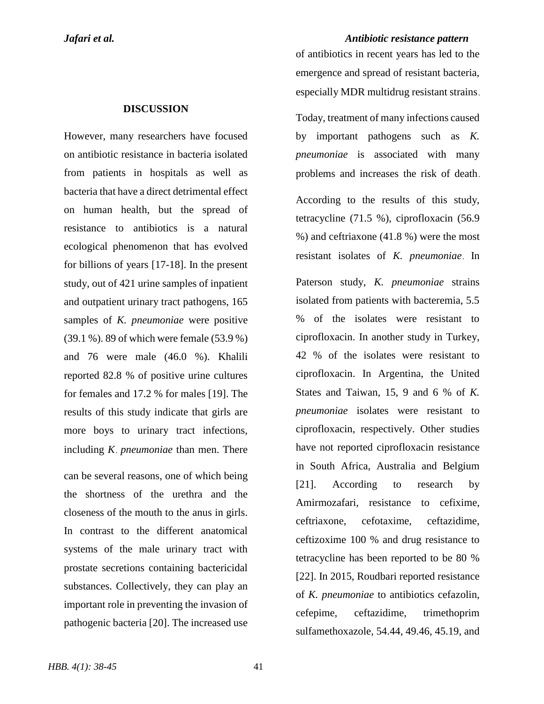### **DISCUSSION**

However, many researchers have focused on antibiotic resistance in bacteria isolated from patients in hospitals as well as bacteria that have a direct detrimental effect on human health, but the spread of resistance to antibiotics is a natural ecological phenomenon that has evolved for billions of years [17-18]. In the present study, out of 421 urine samples of inpatient and outpatient urinary tract pathogens, 165 samples of *K. pneumoniae* were positive (39.1 %). 89 of which were female (53.9 %) and 76 were male (46.0 %). Khalili reported 82.8 % of positive urine cultures for females and 17.2 % for males [19]. The results of this study indicate that girls are more boys to urinary tract infections, including *K*. *pneumoniae* than men. There

can be several reasons, one of which being the shortness of the urethra and the closeness of the mouth to the anus in girls. In contrast to the different anatomical systems of the male urinary tract with prostate secretions containing bactericidal substances. Collectively, they can play an important role in preventing the invasion of pathogenic bacteria [20]. The increased use

*Jafari et al. Antibiotic resistance pattern*

of antibiotics in recent years has led to the emergence and spread of resistant bacteria, especially MDR multidrug resistant strains.

Today, treatment of many infections caused by important pathogens such as *K. pneumoniae* is associated with many problems and increases the risk of death. According to the results of this study, tetracycline (71.5 %), ciprofloxacin (56.9 %) and ceftriaxone (41.8 %) were the most resistant isolates of *K. pneumoniae*. In Paterson study, *K. pneumoniae* strains isolated from patients with bacteremia, 5.5 % of the isolates were resistant to ciprofloxacin. In another study in Turkey, 42 % of the isolates were resistant to ciprofloxacin. In Argentina, the United States and Taiwan, 15, 9 and 6 % of *K. pneumoniae* isolates were resistant to ciprofloxacin, respectively. Other studies have not reported ciprofloxacin resistance in South Africa, Australia and Belgium [21]. According to research by Amirmozafari, resistance to cefixime, ceftriaxone, cefotaxime, ceftazidime, ceftizoxime 100 % and drug resistance to tetracycline has been reported to be 80 % [22]. In 2015, Roudbari reported resistance of *K. pneumoniae* to antibiotics cefazolin, cefepime, ceftazidime, trimethoprim sulfamethoxazole, 54.44, 49.46, 45.19, and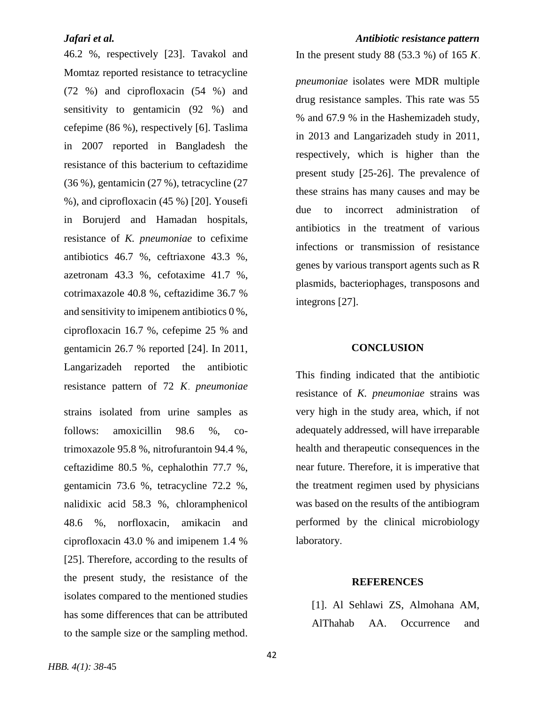46.2 %, respectively [23]. Tavakol and Momtaz reported resistance to tetracycline (72 %) and ciprofloxacin (54 %) and sensitivity to gentamicin (92 %) and cefepime (86 %), respectively [6]. Taslima in 2007 reported in Bangladesh the resistance of this bacterium to ceftazidime (36 %), gentamicin (27 %), tetracycline (27 %), and ciprofloxacin (45 %) [20]. Yousefi in Borujerd and Hamadan hospitals, resistance of *K. pneumoniae* to cefixime antibiotics 46.7 %, ceftriaxone 43.3 %, azetronam 43.3 %, cefotaxime 41.7 %, cotrimaxazole 40.8 %, ceftazidime 36.7 % and sensitivity to imipenem antibiotics 0 %, ciprofloxacin 16.7 %, cefepime 25 % and gentamicin 26.7 % reported [24]. In 2011, Langarizadeh reported the antibiotic resistance pattern of 72 *K*. *pneumoniae* strains isolated from urine samples as follows: amoxicillin 98.6 %, cotrimoxazole 95.8 %, nitrofurantoin 94.4 %, ceftazidime 80.5 %, cephalothin 77.7 %, gentamicin 73.6 %, tetracycline 72.2 %, nalidixic acid 58.3 %, chloramphenicol 48.6 %, norfloxacin, amikacin and ciprofloxacin 43.0 % and imipenem 1.4 % [25]. Therefore, according to the results of the present study, the resistance of the isolates compared to the mentioned studies has some differences that can be attributed to the sample size or the sampling method.

# *Jafari et al. Antibiotic resistance pattern*

In the present study 88 (53.3 %) of 165 *K*.

*pneumoniae* isolates were MDR multiple drug resistance samples. This rate was 55 % and 67.9 % in the Hashemizadeh study, in 2013 and Langarizadeh study in 2011, respectively, which is higher than the present study [25-26]. The prevalence of these strains has many causes and may be due to incorrect administration of antibiotics in the treatment of various infections or transmission of resistance genes by various transport agents such as R plasmids, bacteriophages, transposons and integrons [27].

# **CONCLUSION**

This finding indicated that the antibiotic resistance of *K. pneumoniae* strains was very high in the study area, which, if not adequately addressed, will have irreparable health and therapeutic consequences in the near future. Therefore, it is imperative that the treatment regimen used by physicians was based on the results of the antibiogram performed by the clinical microbiology laboratory.

### **REFERENCES**

[1]. Al Sehlawi ZS, Almohana AM, AlThahab AA. Occurrence and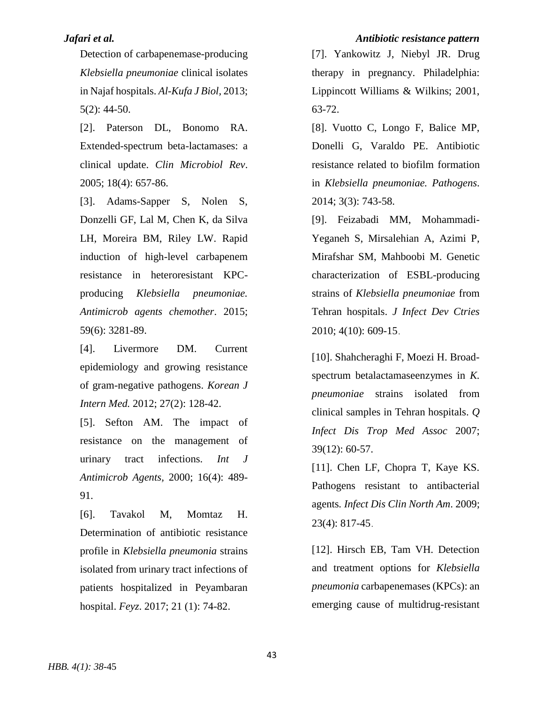Detection of carbapenemase-producing *Klebsiella pneumoniae* clinical isolates in Najaf hospitals. *Al-Kufa J Biol,* 2013; 5(2): 44-50.

[2]. Paterson DL, Bonomo RA. Extended-spectrum beta-lactamases: a clinical update. *Clin Microbiol Rev*. 2005; 18(4): 657-86.

[3]. Adams-Sapper S, Nolen S, Donzelli GF, Lal M, Chen K, da Silva LH, Moreira BM, Riley LW. Rapid induction of high-level carbapenem resistance in heteroresistant KPCproducing *Klebsiella pneumoniae. Antimicrob agents chemother*. 2015; 59(6): 3281-89.

[4]. Livermore DM. Current epidemiology and growing resistance of gram-negative pathogens. *Korean J Intern Med.* 2012; 27(2): 128-42.

[5]. Sefton AM. The impact of resistance on the management of urinary tract infections. *Int J Antimicrob Agents,* 2000; 16(4): 489- 91.

[6]. Tavakol M, Momtaz H. Determination of antibiotic resistance profile in *Klebsiella pneumonia* strains isolated from urinary tract infections of patients hospitalized in Peyambaran hospital. *Feyz*. 2017; 21 (1): 74-82.

# *Jafari et al. Antibiotic resistance pattern*

[7]. Yankowitz J, Niebyl JR. Drug therapy in pregnancy. Philadelphia: Lippincott Williams & Wilkins; 2001, 63-72.

[8]. Vuotto C, Longo F, Balice MP, Donelli G, Varaldo PE. Antibiotic resistance related to biofilm formation in *Klebsiella pneumoniae. Pathogens*. 2014; 3(3): 743-58.

[9]. Feizabadi MM, Mohammadi-Yeganeh S, Mirsalehian A, Azimi P, Mirafshar SM, Mahboobi M. Genetic characterization of ESBL-producing strains of *Klebsiella pneumoniae* from Tehran hospitals. *J Infect Dev Ctries* 2010; 4(10): 609-15.

[10]. Shahcheraghi F, Moezi H. Broadspectrum betalactamaseenzymes in *K. pneumoniae* strains isolated from clinical samples in Tehran hospitals. *Q Infect Dis Trop Med Assoc* 2007; 39(12): 60-57.

[11]. Chen LF, Chopra T, Kaye KS. Pathogens resistant to antibacterial agents*. Infect Dis Clin North Am*. 2009; 23(4): 817-45.

[12]. Hirsch EB, Tam VH. Detection and treatment options for *Klebsiella pneumonia* carbapenemases (KPCs): an emerging cause of multidrug-resistant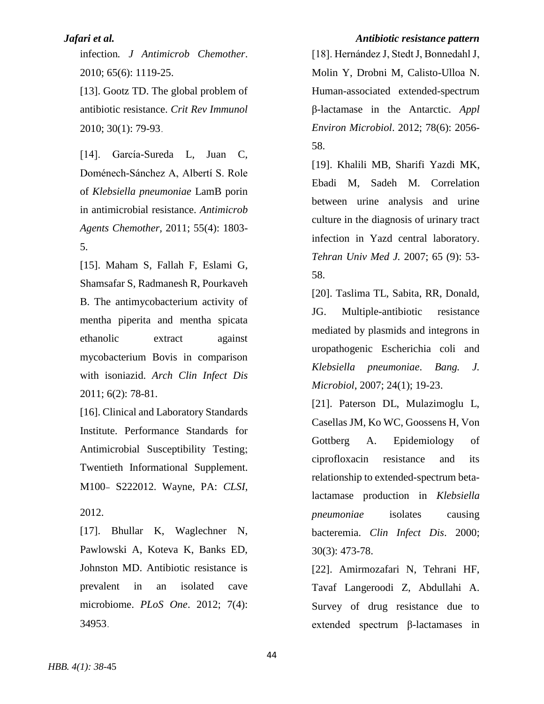infection*. J Antimicrob Chemother*. 2010; 65(6): 1119-25.

[13]. Gootz TD. The global problem of antibiotic resistance. *Crit Rev Immunol* 2010; 30(1): 79-93.

[14]. García-Sureda L, Juan C, Doménech-Sánchez A, Albertí S. Role of *Klebsiella pneumoniae* LamB porin in antimicrobial resistance. *Antimicrob Agents Chemother,* 2011; 55(4): 1803- 5.

[15]. Maham S, Fallah F, Eslami G, Shamsafar S, Radmanesh R, Pourkaveh B. The antimycobacterium activity of mentha piperita and mentha spicata ethanolic extract against mycobacterium Bovis in comparison with isoniazid. *Arch Clin Infect Dis* 2011; 6(2): 78-81.

[16]. Clinical and Laboratory Standards Institute. Performance Standards for Antimicrobial Susceptibility Testing; Twentieth Informational Supplement. M100- S222012. Wayne, PA: *CLSI*,

2012.

[17]. Bhullar K, Waglechner N, Pawlowski A, Koteva K, Banks ED, Johnston MD. Antibiotic resistance is prevalent in an isolated cave microbiome. *PLoS One*. 2012; 7(4): 34953.

### *Jafari et al. Antibiotic resistance pattern*

[18]. Hernández J, Stedt J, Bonnedahl J, Molin Y, Drobni M, Calisto-Ulloa N. Human-associated extended-spectrum β-lactamase in the Antarctic. *Appl Environ Microbiol*. 2012; 78(6): 2056- 58.

[19]. Khalili MB, Sharifi Yazdi MK, Ebadi M, Sadeh M. Correlation between urine analysis and urine culture in the diagnosis of urinary tract infection in Yazd central laboratory. *Tehran Univ Med J.* 2007; 65 (9): 53- 58.

[20]. Taslima TL, Sabita, RR, Donald, JG. Multiple-antibiotic resistance mediated by plasmids and integrons in uropathogenic Escherichia coli and *Klebsiella pneumoniae*. *Bang. J. Microbiol*, 2007; 24(1); 19-23.

[21]. Paterson DL, Mulazimoglu L, Casellas JM, Ko WC, Goossens H, Von Gottberg A. Epidemiology of ciprofloxacin resistance and its relationship to extended-spectrum betalactamase production in *Klebsiella pneumoniae* isolates causing bacteremia. *Clin Infect Dis*. 2000; 30(3): 473-78.

[22]. Amirmozafari N, Tehrani HF, Tavaf Langeroodi Z, Abdullahi A. Survey of drug resistance due to extended spectrum β-lactamases in